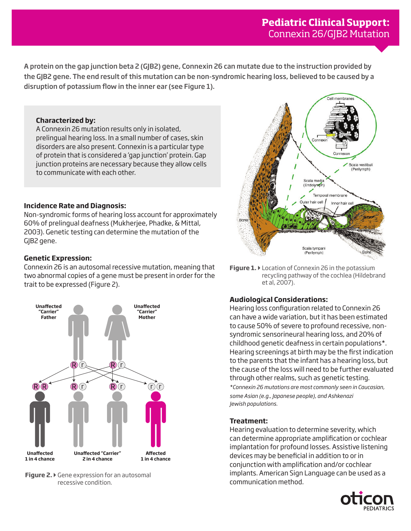A protein on the gap junction beta 2 (GJB2) gene, Connexin 26 can mutate due to the instruction provided by the GJB2 gene. The end result of this mutation can be non-syndromic hearing loss, believed to be caused by a disruption of potassium flow in the inner ear (see Figure 1).

# **Characterized by:**

A Connexin 26 mutation results only in isolated, prelingual hearing loss. In a small number of cases, skin disorders are also present. Connexin is a particular type of protein that is considered a 'gap junction' protein. Gap junction proteins are necessary because they allow cells to communicate with each other.

#### **Incidence Rate and Diagnosis:**

Non-syndromic forms of hearing loss account for approximately 60% of prelingual deafness (Mukherjee, Phadke, & Mittal, 2003). Genetic testing can determine the mutation of the GJB2 gene.

# **Genetic Expression:**

Connexin 26 is an autosomal recessive mutation, meaning that two abnormal copies of a gene must be present in order for the trait to be expressed (Figure 2).



**Figure 2.**  $\triangleright$  Gene expression for an autosomal recessive condition.



**Figure 1.** Location of Connexin 26 in the potassium recycling pathway of the cochlea (Hildebrand et al, 2007).

# **Audiological Considerations:**

Hearing loss configuration related to Connexin 26 can have a wide variation, but it has been estimated to cause 50% of severe to profound recessive, nonsyndromic sensorineural hearing loss, and 20% of childhood genetic deafness in certain populations\*. Hearing screenings at birth may be the first indication to the parents that the infant has a hearing loss, but the cause of the loss will need to be further evaluated through other realms, such as genetic testing. *\*Connexin 26 mutations are most commonly seen in Caucasian, some Asian (e.g., Japanese people), and Ashkenazi Jewish populations.* 

# **Treatment:**

Hearing evaluation to determine severity, which can determine appropriate amplification or cochlear implantation for profound losses. Assistive listening devices may be beneficial in addition to or in conjunction with amplification and/or cochlear implants. American Sign Language can be used as a communication method.